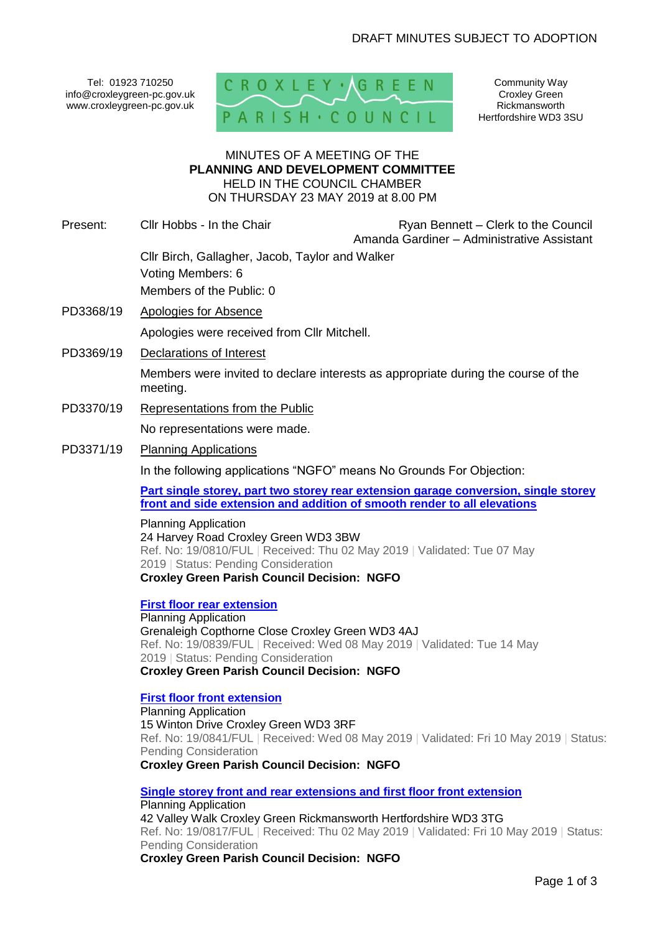Tel: 01923 710250 info@croxleygreen-pc.gov.uk www.croxleygreen-pc.gov.uk



Community Way Croxley Green Rickmansworth Hertfordshire WD3 3SU

## MINUTES OF A MEETING OF THE **PLANNING AND DEVELOPMENT COMMITTEE** HELD IN THE COUNCIL CHAMBER ON THURSDAY 23 MAY 2019 at 8.00 PM

- Present: Cllr Hobbs In the Chair Ryan Bennett Clerk to the Council Amanda Gardiner – Administrative Assistant Cllr Birch, Gallagher, Jacob, Taylor and Walker Voting Members: 6 Members of the Public: 0
- PD3368/19 Apologies for Absence Apologies were received from Cllr Mitchell.
- PD3369/19 Declarations of Interest

Members were invited to declare interests as appropriate during the course of the meeting.

- PD3370/19 Representations from the Public No representations were made.
- PD3371/19 Planning Applications

In the following applications "NGFO" means No Grounds For Objection:

**[Part single storey, part two storey rear extension garage conversion, single storey](http://www3.threerivers.gov.uk/online-applications/applicationDetails.do?activeTab=summary&keyVal=PQV7JLQFN1D00&prevPage=inTray)  [front and side extension and addition of smooth render to all elevations](http://www3.threerivers.gov.uk/online-applications/applicationDetails.do?activeTab=summary&keyVal=PQV7JLQFN1D00&prevPage=inTray)**

Planning Application 24 Harvey Road Croxley Green WD3 3BW Ref. No: 19/0810/FUL | Received: Thu 02 May 2019 | Validated: Tue 07 May 2019 | Status: Pending Consideration **Croxley Green Parish Council Decision: NGFO**

**[First floor rear extension](http://www3.threerivers.gov.uk/online-applications/applicationDetails.do?activeTab=summary&keyVal=PR6BHUQFN2U00&prevPage=inTray)** Planning Application Grenaleigh Copthorne Close Croxley Green WD3 4AJ Ref. No: 19/0839/FUL | Received: Wed 08 May 2019 | Validated: Tue 14 May 2019 | Status: Pending Consideration **Croxley Green Parish Council Decision: NGFO**

## **[First floor front extension](http://www3.threerivers.gov.uk/online-applications/applicationDetails.do?activeTab=summary&keyVal=PR6BIVQFN2Z00&prevPage=inTray)**

Planning Application 15 Winton Drive Croxley Green WD3 3RF Ref. No: 19/0841/FUL | Received: Wed 08 May 2019 | Validated: Fri 10 May 2019 | Status: Pending Consideration **Croxley Green Parish Council Decision: NGFO**

**[Single storey front and rear extensions and first floor front extension](http://www3.threerivers.gov.uk/online-applications/applicationDetails.do?activeTab=summary&keyVal=PQVRWUQF03N00&prevPage=inTray)**

Planning Application 42 Valley Walk Croxley Green Rickmansworth Hertfordshire WD3 3TG Ref. No: 19/0817/FUL | Received: Thu 02 May 2019 | Validated: Fri 10 May 2019 | Status: Pending Consideration **Croxley Green Parish Council Decision: NGFO**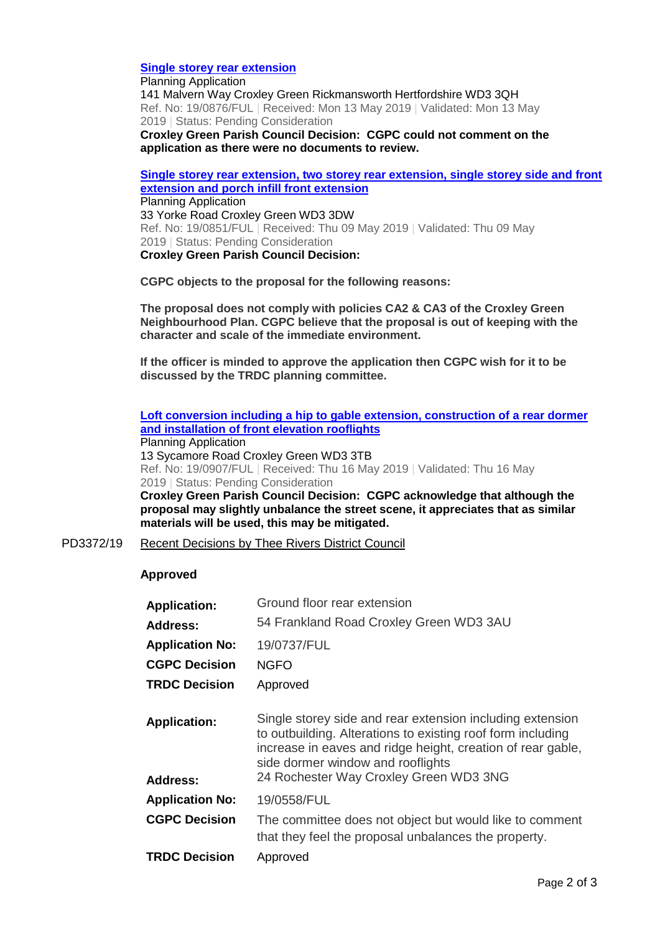## **[Single storey rear extension](http://www3.threerivers.gov.uk/online-applications/applicationDetails.do?activeTab=summary&keyVal=PRG2F3QF03N00&prevPage=inTray)**

Planning Application 141 Malvern Way Croxley Green Rickmansworth Hertfordshire WD3 3QH Ref. No: 19/0876/FUL | Received: Mon 13 May 2019 | Validated: Mon 13 May 2019 | Status: Pending Consideration **Croxley Green Parish Council Decision: CGPC could not comment on the** 

**application as there were no documents to review.** 

**[Single storey rear extension, two storey rear extension, single storey side and front](http://www3.threerivers.gov.uk/online-applications/applicationDetails.do?activeTab=summary&keyVal=PR8665QFN3I00&prevPage=inTray)  [extension and porch infill front extension](http://www3.threerivers.gov.uk/online-applications/applicationDetails.do?activeTab=summary&keyVal=PR8665QFN3I00&prevPage=inTray)** Planning Application 33 Yorke Road Croxley Green WD3 3DW Ref. No: 19/0851/FUL | Received: Thu 09 May 2019 | Validated: Thu 09 May 2019 | Status: Pending Consideration **Croxley Green Parish Council Decision:** 

**CGPC objects to the proposal for the following reasons:**

**The proposal does not comply with policies CA2 & CA3 of the Croxley Green Neighbourhood Plan. CGPC believe that the proposal is out of keeping with the character and scale of the immediate environment.** 

**If the officer is minded to approve the application then CGPC wish for it to be discussed by the TRDC planning committee.** 

**[Loft conversion including a hip to gable extension, construction of a rear dormer](http://www3.threerivers.gov.uk/online-applications/applicationDetails.do?activeTab=summary&keyVal=PRL4XUQFFGC00&prevPage=inTray)  [and installation of front elevation rooflights](http://www3.threerivers.gov.uk/online-applications/applicationDetails.do?activeTab=summary&keyVal=PRL4XUQFFGC00&prevPage=inTray)**

Planning Application 13 Sycamore Road Croxley Green WD3 3TB Ref. No: 19/0907/FUL | Received: Thu 16 May 2019 | Validated: Thu 16 May 2019 | Status: Pending Consideration **Croxley Green Parish Council Decision: CGPC acknowledge that although the proposal may slightly unbalance the street scene, it appreciates that as similar** 

**materials will be used, this may be mitigated.**

PD3372/19 Recent Decisions by Thee Rivers District Council

## **Approved**

| Ground floor rear extension                                                                                                                                                                                                                                            |  |
|------------------------------------------------------------------------------------------------------------------------------------------------------------------------------------------------------------------------------------------------------------------------|--|
| 54 Frankland Road Croxley Green WD3 3AU                                                                                                                                                                                                                                |  |
| 19/0737/FUL                                                                                                                                                                                                                                                            |  |
| <b>NGFO</b>                                                                                                                                                                                                                                                            |  |
| <b>TRDC Decision</b><br>Approved                                                                                                                                                                                                                                       |  |
| Single storey side and rear extension including extension<br>to outbuilding. Alterations to existing roof form including<br>increase in eaves and ridge height, creation of rear gable,<br>side dormer window and rooflights<br>24 Rochester Way Croxley Green WD3 3NG |  |
| 19/0558/FUL                                                                                                                                                                                                                                                            |  |
| The committee does not object but would like to comment                                                                                                                                                                                                                |  |
| that they feel the proposal unbalances the property.                                                                                                                                                                                                                   |  |
|                                                                                                                                                                                                                                                                        |  |